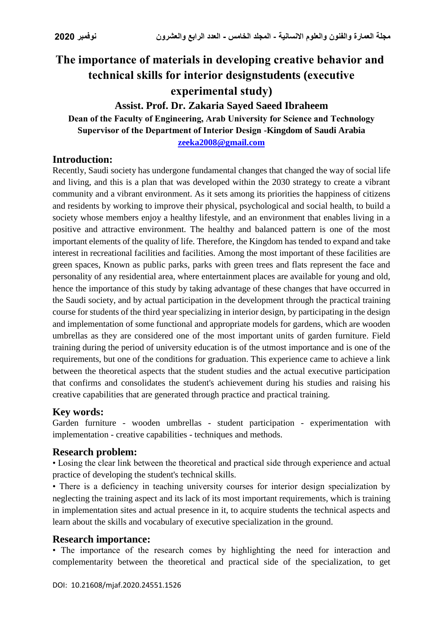# **The importance of materials in developing creative behavior and technical skills for interior designstudents (executive experimental study)**

**Assist. Prof. Dr. Zakaria Sayed Saeed Ibraheem**

**Dean of the Faculty of Engineering, Arab University for Science and Technology Supervisor of the Department of Interior Design -Kingdom of Saudi Arabia [zeeka2008@gmail.com](mailto:zeeka2008@gmail.com)**

### **Introduction:**

Recently, Saudi society has undergone fundamental changes that changed the way of social life and living, and this is a plan that was developed within the 2030 strategy to create a vibrant community and a vibrant environment. As it sets among its priorities the happiness of citizens and residents by working to improve their physical, psychological and social health, to build a society whose members enjoy a healthy lifestyle, and an environment that enables living in a positive and attractive environment. The healthy and balanced pattern is one of the most important elements of the quality of life. Therefore, the Kingdom has tended to expand and take interest in recreational facilities and facilities. Among the most important of these facilities are green spaces, Known as public parks, parks with green trees and flats represent the face and personality of any residential area, where entertainment places are available for young and old, hence the importance of this study by taking advantage of these changes that have occurred in the Saudi society, and by actual participation in the development through the practical training course for students of the third year specializing in interior design, by participating in the design and implementation of some functional and appropriate models for gardens, which are wooden umbrellas as they are considered one of the most important units of garden furniture. Field training during the period of university education is of the utmost importance and is one of the requirements, but one of the conditions for graduation. This experience came to achieve a link between the theoretical aspects that the student studies and the actual executive participation that confirms and consolidates the student's achievement during his studies and raising his creative capabilities that are generated through practice and practical training.

# **Key words:**

Garden furniture - wooden umbrellas - student participation - experimentation with implementation - creative capabilities - techniques and methods.

#### **Research problem:**

• Losing the clear link between the theoretical and practical side through experience and actual practice of developing the student's technical skills.

• There is a deficiency in teaching university courses for interior design specialization by neglecting the training aspect and its lack of its most important requirements, which is training in implementation sites and actual presence in it, to acquire students the technical aspects and learn about the skills and vocabulary of executive specialization in the ground.

#### **Research importance:**

• The importance of the research comes by highlighting the need for interaction and complementarity between the theoretical and practical side of the specialization, to get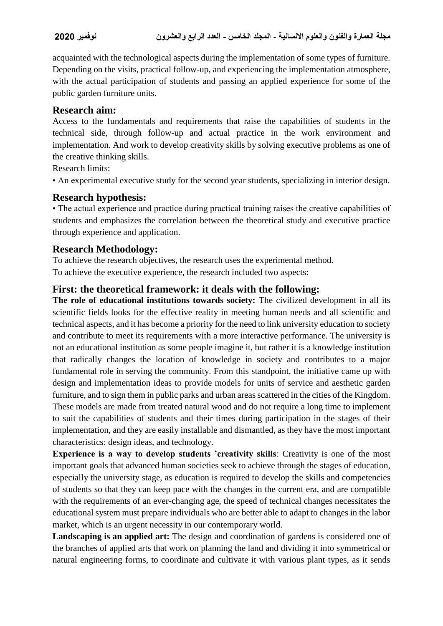acquainted with the technological aspects during the implementation of some types of furniture. Depending on the visits, practical follow-up, and experiencing the implementation atmosphere, with the actual participation of students and passing an applied experience for some of the public garden furniture units.

# **Research aim:**

Access to the fundamentals and requirements that raise the capabilities of students in the technical side, through follow-up and actual practice in the work environment and implementation. And work to develop creativity skills by solving executive problems as one of the creative thinking skills.

Research limits:

• An experimental executive study for the second year students, specializing in interior design.

### **Research hypothesis:**

• The actual experience and practice during practical training raises the creative capabilities of students and emphasizes the correlation between the theoretical study and executive practice through experience and application.

# **Research Methodology:**

To achieve the research objectives, the research uses the experimental method. To achieve the executive experience, the research included two aspects:

# **First: the theoretical framework: it deals with the following:**

**The role of educational institutions towards society:** The civilized development in all its scientific fields looks for the effective reality in meeting human needs and all scientific and technical aspects, and it has become a priority for the need to link university education to society and contribute to meet its requirements with a more interactive performance. The university is not an educational institution as some people imagine it, but rather it is a knowledge institution that radically changes the location of knowledge in society and contributes to a major fundamental role in serving the community. From this standpoint, the initiative came up with design and implementation ideas to provide models for units of service and aesthetic garden furniture, and to sign them in public parks and urban areas scattered in the cities of the Kingdom. These models are made from treated natural wood and do not require a long time to implement to suit the capabilities of students and their times during participation in the stages of their implementation, and they are easily installable and dismantled, as they have the most important characteristics: design ideas, and technology.

**Experience is a way to develop students 'creativity skills**: Creativity is one of the most important goals that advanced human societies seek to achieve through the stages of education, especially the university stage, as education is required to develop the skills and competencies of students so that they can keep pace with the changes in the current era, and are compatible with the requirements of an ever-changing age, the speed of technical changes necessitates the educational system must prepare individuals who are better able to adapt to changes in the labor market, which is an urgent necessity in our contemporary world.

**Landscaping is an applied art:** The design and coordination of gardens is considered one of the branches of applied arts that work on planning the land and dividing it into symmetrical or natural engineering forms, to coordinate and cultivate it with various plant types, as it sends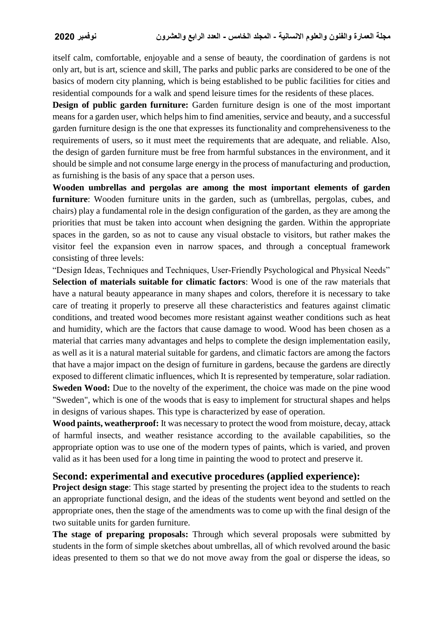itself calm, comfortable, enjoyable and a sense of beauty, the coordination of gardens is not only art, but is art, science and skill, The parks and public parks are considered to be one of the basics of modern city planning, which is being established to be public facilities for cities and residential compounds for a walk and spend leisure times for the residents of these places.

**Design of public garden furniture:** Garden furniture design is one of the most important means for a garden user, which helps him to find amenities, service and beauty, and a successful garden furniture design is the one that expresses its functionality and comprehensiveness to the requirements of users, so it must meet the requirements that are adequate, and reliable. Also, the design of garden furniture must be free from harmful substances in the environment, and it should be simple and not consume large energy in the process of manufacturing and production, as furnishing is the basis of any space that a person uses.

**Wooden umbrellas and pergolas are among the most important elements of garden furniture**: Wooden furniture units in the garden, such as (umbrellas, pergolas, cubes, and chairs) play a fundamental role in the design configuration of the garden, as they are among the priorities that must be taken into account when designing the garden. Within the appropriate spaces in the garden, so as not to cause any visual obstacle to visitors, but rather makes the visitor feel the expansion even in narrow spaces, and through a conceptual framework consisting of three levels:

"Design Ideas, Techniques and Techniques, User-Friendly Psychological and Physical Needs" **Selection of materials suitable for climatic factors**: Wood is one of the raw materials that have a natural beauty appearance in many shapes and colors, therefore it is necessary to take care of treating it properly to preserve all these characteristics and features against climatic conditions, and treated wood becomes more resistant against weather conditions such as heat and humidity, which are the factors that cause damage to wood. Wood has been chosen as a material that carries many advantages and helps to complete the design implementation easily, as well as it is a natural material suitable for gardens, and climatic factors are among the factors that have a major impact on the design of furniture in gardens, because the gardens are directly exposed to different climatic influences, which It is represented by temperature, solar radiation. **Sweden Wood:** Due to the novelty of the experiment, the choice was made on the pine wood "Sweden", which is one of the woods that is easy to implement for structural shapes and helps in designs of various shapes. This type is characterized by ease of operation.

**Wood paints, weatherproof:** It was necessary to protect the wood from moisture, decay, attack of harmful insects, and weather resistance according to the available capabilities, so the appropriate option was to use one of the modern types of paints, which is varied, and proven valid as it has been used for a long time in painting the wood to protect and preserve it.

#### **Second: experimental and executive procedures (applied experience):**

**Project design stage**: This stage started by presenting the project idea to the students to reach an appropriate functional design, and the ideas of the students went beyond and settled on the appropriate ones, then the stage of the amendments was to come up with the final design of the two suitable units for garden furniture.

**The stage of preparing proposals:** Through which several proposals were submitted by students in the form of simple sketches about umbrellas, all of which revolved around the basic ideas presented to them so that we do not move away from the goal or disperse the ideas, so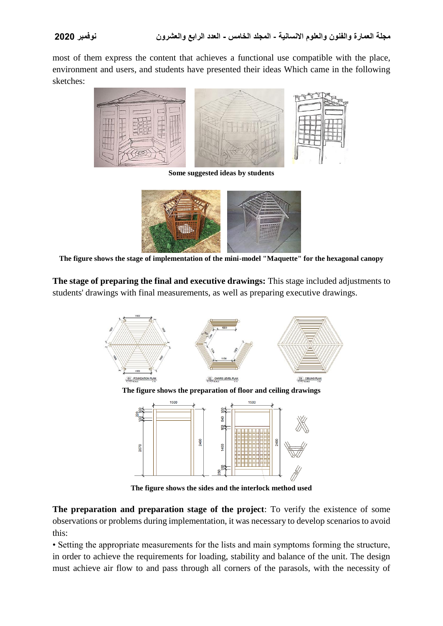most of them express the content that achieves a functional use compatible with the place, environment and users, and students have presented their ideas Which came in the following sketches:



**Some suggested ideas by students**



**The figure shows the stage of implementation of the mini-model "Maquette" for the hexagonal canopy**

**The stage of preparing the final and executive drawings:** This stage included adjustments to students' drawings with final measurements, as well as preparing executive drawings.



**The figure shows the sides and the interlock method used**

**The preparation and preparation stage of the project**: To verify the existence of some observations or problems during implementation, it was necessary to develop scenarios to avoid this:

• Setting the appropriate measurements for the lists and main symptoms forming the structure, in order to achieve the requirements for loading, stability and balance of the unit. The design must achieve air flow to and pass through all corners of the parasols, with the necessity of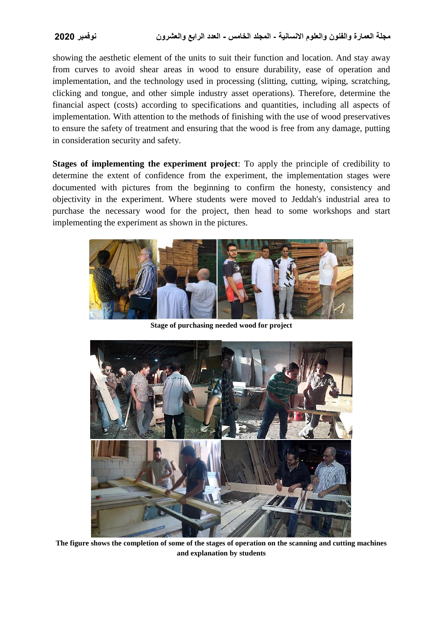showing the aesthetic element of the units to suit their function and location. And stay away from curves to avoid shear areas in wood to ensure durability, ease of operation and implementation, and the technology used in processing (slitting, cutting, wiping, scratching, clicking and tongue, and other simple industry asset operations). Therefore, determine the financial aspect (costs) according to specifications and quantities, including all aspects of implementation. With attention to the methods of finishing with the use of wood preservatives to ensure the safety of treatment and ensuring that the wood is free from any damage, putting in consideration security and safety.

**Stages of implementing the experiment project**: To apply the principle of credibility to determine the extent of confidence from the experiment, the implementation stages were documented with pictures from the beginning to confirm the honesty, consistency and objectivity in the experiment. Where students were moved to Jeddah's industrial area to purchase the necessary wood for the project, then head to some workshops and start implementing the experiment as shown in the pictures.



**Stage of purchasing needed wood for project**



**The figure shows the completion of some of the stages of operation on the scanning and cutting machines and explanation by students**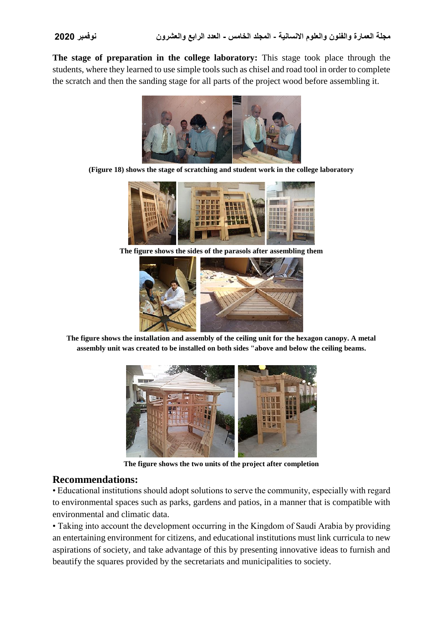**The stage of preparation in the college laboratory:** This stage took place through the students, where they learned to use simple tools such as chisel and road tool in order to complete the scratch and then the sanding stage for all parts of the project wood before assembling it.



**(Figure 18) shows the stage of scratching and student work in the college laboratory**



**The figure shows the sides of the parasols after assembling them**



**The figure shows the installation and assembly of the ceiling unit for the hexagon canopy. A metal assembly unit was created to be installed on both sides "above and below the ceiling beams.**



**The figure shows the two units of the project after completion**

#### **Recommendations:**

• Educational institutions should adopt solutions to serve the community, especially with regard to environmental spaces such as parks, gardens and patios, in a manner that is compatible with environmental and climatic data.

• Taking into account the development occurring in the Kingdom of Saudi Arabia by providing an entertaining environment for citizens, and educational institutions must link curricula to new aspirations of society, and take advantage of this by presenting innovative ideas to furnish and beautify the squares provided by the secretariats and municipalities to society.